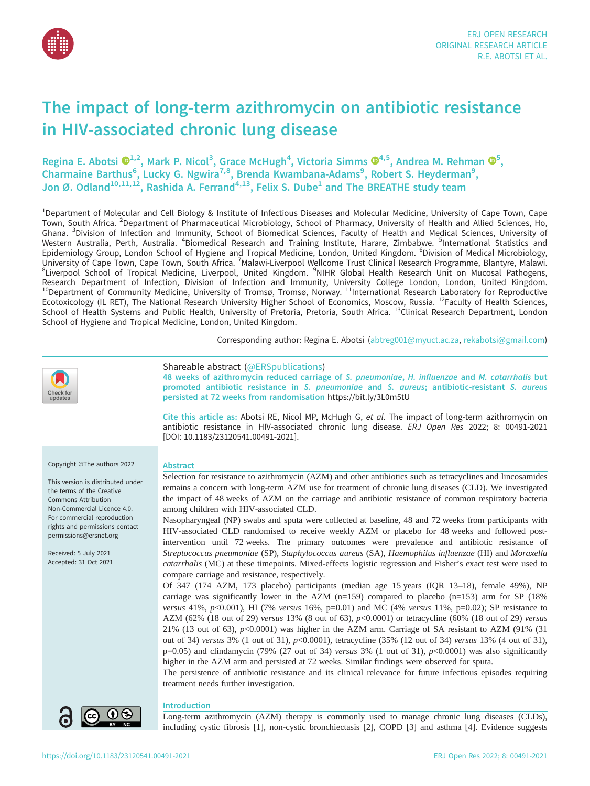

# The impact of long-term azithromycin on antibiotic resistance in HIV-associated chronic lung disease

Regina E. Abotsi  $\mathbf{D}^{1,2}$ , Mark P. Nicol<sup>3</sup>, Grace McHugh<sup>[4](https://orcid.org/0000-0002-4897-458X)</sup>, Victoria Simms  $\mathbf{D}^{4,5}$ , Andrea M. Rehman  $\mathbf{D}^{5}$ , Charmaine Barthus<sup>6</sup>, Lucky G. Ngwira<sup>7,8</sup>, Brenda Kwambana-Adams<sup>9</sup>, Robert S. Heyderman<sup>9</sup>, Jon Ø. Odland<sup>10,11,12</sup>, Rashida A. Ferrand<sup>4,13</sup>, Felix S. Dube<sup>1</sup> and The BREATHE study team

<sup>1</sup>Department of Molecular and Cell Biology & Institute of Infectious Diseases and Molecular Medicine, University of Cape Town, Cape Town, South Africa. <sup>2</sup>Department of Pharmaceutical Microbiology, School of Pharmacy, University of Health and Allied Sciences, Ho, Ghana. <sup>3</sup>Division of Infection and Immunity, School of Biomedical Sciences, Faculty of Health and Medical Sciences, University of Western Australia, Perth, Australia. <sup>4</sup>Biomedical Research and Training Institute, Harare, Zimbabwe. <sup>5</sup>International Statistics and Epidemiology Group, London School of Hygiene and Tropical Medicine, London, United Kingdom. <sup>6</sup>Division of Medical Microbiology, University of Cape Town, Cape Town, South Africa. <sup>7</sup>Malawi-Liverpool Wellcome Trust Clinical Research Programme, Blantyre, Malawi.<br><sup>8</sup>Liverpool School of Tropical Medicine, Liverpool, United Kingdom. <sup>9</sup>NIHR Global Health Research Department of Infection, Division of Infection and Immunity, University College London, London, United Kingdom. <sup>10</sup>Department of Community Medicine, University of Tromsø, Tromsø, Norway. <sup>11</sup>International Research Laboratory for Reproductive Ecotoxicology (IL RET), The National Research University Higher School of Economics, Moscow, Russia. <sup>12</sup>Faculty of Health Sciences, School of Health Systems and Public Health, University of Pretoria, Pretoria, South Africa. <sup>13</sup>Clinical Research Department, London School of Hygiene and Tropical Medicine, London, United Kingdom.

Corresponding author: Regina E. Abotsi [\(abtreg001@myuct.ac.za](mailto:abtreg001@myuct.ac.za), [rekabotsi@gmail.com](mailto:rekabotsi@gmail.com))

| Check for<br>updates                                                                                                                                                                                                                                                                                    | Shareable abstract (@ERSpublications)<br>48 weeks of azithromycin reduced carriage of S. pneumoniae, H. influenzae and M. catarrhalis but<br>promoted antibiotic resistance in S. pneumoniae and S. aureus; antibiotic-resistant S. aureus<br>persisted at 72 weeks from randomisation https://bit.ly/3L0m5tU                                                                                                                                                                                                                                                                                                                                                                                                                                                                                                                                                                                                                                                                                                                                                                                                                                                                                                                                                                                                                                                                                                                                                                                                                                                                                                                                                                                                                                                                                                                                                                                                                                                                                                              |
|---------------------------------------------------------------------------------------------------------------------------------------------------------------------------------------------------------------------------------------------------------------------------------------------------------|----------------------------------------------------------------------------------------------------------------------------------------------------------------------------------------------------------------------------------------------------------------------------------------------------------------------------------------------------------------------------------------------------------------------------------------------------------------------------------------------------------------------------------------------------------------------------------------------------------------------------------------------------------------------------------------------------------------------------------------------------------------------------------------------------------------------------------------------------------------------------------------------------------------------------------------------------------------------------------------------------------------------------------------------------------------------------------------------------------------------------------------------------------------------------------------------------------------------------------------------------------------------------------------------------------------------------------------------------------------------------------------------------------------------------------------------------------------------------------------------------------------------------------------------------------------------------------------------------------------------------------------------------------------------------------------------------------------------------------------------------------------------------------------------------------------------------------------------------------------------------------------------------------------------------------------------------------------------------------------------------------------------------|
|                                                                                                                                                                                                                                                                                                         | Cite this article as: Abotsi RE, Nicol MP, McHugh G, et al. The impact of long-term azithromycin on<br>antibiotic resistance in HIV-associated chronic lung disease. ERJ Open Res 2022; 8: 00491-2021<br>[DOI: 10.1183/23120541.00491-2021].                                                                                                                                                                                                                                                                                                                                                                                                                                                                                                                                                                                                                                                                                                                                                                                                                                                                                                                                                                                                                                                                                                                                                                                                                                                                                                                                                                                                                                                                                                                                                                                                                                                                                                                                                                               |
| Copyright ©The authors 2022<br>This version is distributed under<br>the terms of the Creative<br><b>Commons Attribution</b><br>Non-Commercial Licence 4.0.<br>For commercial reproduction<br>rights and permissions contact<br>permissions@ersnet.org<br>Received: 5 July 2021<br>Accepted: 31 Oct 2021 | <b>Abstract</b><br>Selection for resistance to azithromycin (AZM) and other antibiotics such as tetracyclines and lincosamides<br>remains a concern with long-term AZM use for treatment of chronic lung diseases (CLD). We investigated<br>the impact of 48 weeks of AZM on the carriage and antibiotic resistance of common respiratory bacteria<br>among children with HIV-associated CLD.<br>Nasopharyngeal (NP) swabs and sputa were collected at baseline, 48 and 72 weeks from participants with<br>HIV-associated CLD randomised to receive weekly AZM or placebo for 48 weeks and followed post-<br>intervention until 72 weeks. The primary outcomes were prevalence and antibiotic resistance of<br>Streptococcus pneumoniae (SP), Staphylococcus aureus (SA), Haemophilus influenzae (HI) and Moraxella<br>catarrhalis (MC) at these timepoints. Mixed-effects logistic regression and Fisher's exact test were used to<br>compare carriage and resistance, respectively.<br>Of 347 (174 AZM, 173 placebo) participants (median age 15 years (IQR 13-18), female 49%), NP<br>carriage was significantly lower in the AZM ( $n=159$ ) compared to placebo ( $n=153$ ) arm for SP (18%<br>versus 41%, $p<0.001$ ), HI (7% versus 16%, $p=0.01$ ) and MC (4% versus 11%, $p=0.02$ ); SP resistance to<br>AZM (62% (18 out of 29) versus 13% (8 out of 63), $p$ <0.0001) or tetracycline (60% (18 out of 29) versus<br>21% (13 out of 63), $p<0.0001$ ) was higher in the AZM arm. Carriage of SA resistant to AZM (91% (31<br>out of 34) versus 3% (1 out of 31), $p<0.0001$ ), tetracycline (35% (12 out of 34) versus 13% (4 out of 31),<br>$p=0.05$ ) and clindamycin (79% (27 out of 34) versus 3% (1 out of 31), $p<0.0001$ ) was also significantly<br>higher in the AZM arm and persisted at 72 weeks. Similar findings were observed for sputa.<br>The persistence of antibiotic resistance and its clinical relevance for future infectious episodes requiring<br>treatment needs further investigation. |
|                                                                                                                                                                                                                                                                                                         | <b>Introduction</b><br>Long-term azithromycin (AZM) therapy is commonly used to manage chronic lung diseases (CLDs),<br>including cystic fibrosis [1], non-cystic bronchiectasis [2], COPD [3] and asthma [4]. Evidence suggests                                                                                                                                                                                                                                                                                                                                                                                                                                                                                                                                                                                                                                                                                                                                                                                                                                                                                                                                                                                                                                                                                                                                                                                                                                                                                                                                                                                                                                                                                                                                                                                                                                                                                                                                                                                           |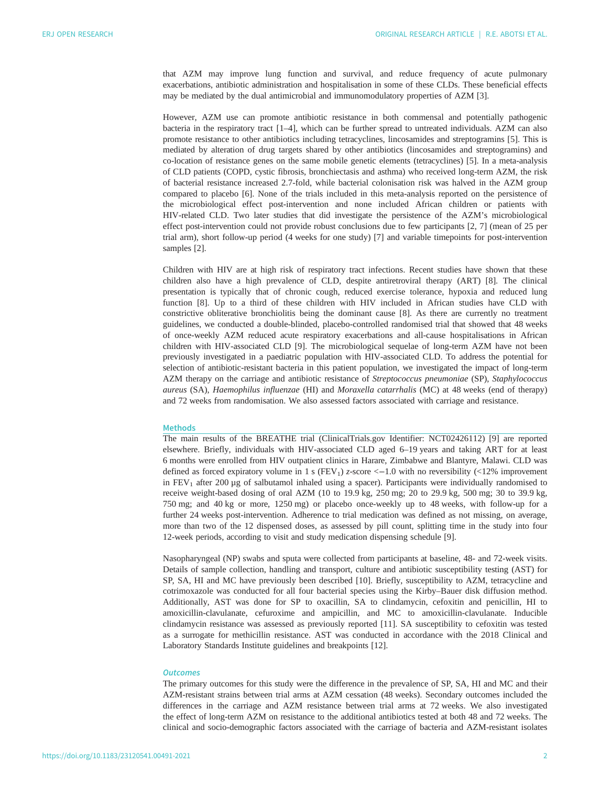that AZM may improve lung function and survival, and reduce frequency of acute pulmonary exacerbations, antibiotic administration and hospitalisation in some of these CLDs. These beneficial effects may be mediated by the dual antimicrobial and immunomodulatory properties of AZM [\[3\]](#page-10-0).

However, AZM use can promote antibiotic resistance in both commensal and potentially pathogenic bacteria in the respiratory tract [\[1](#page-10-0)–[4\]](#page-10-0), which can be further spread to untreated individuals. AZM can also promote resistance to other antibiotics including tetracyclines, lincosamides and streptogramins [\[5\]](#page-10-0). This is mediated by alteration of drug targets shared by other antibiotics (lincosamides and streptogramins) and co-location of resistance genes on the same mobile genetic elements (tetracyclines) [[5](#page-10-0)]. In a meta-analysis of CLD patients (COPD, cystic fibrosis, bronchiectasis and asthma) who received long-term AZM, the risk of bacterial resistance increased 2.7-fold, while bacterial colonisation risk was halved in the AZM group compared to placebo [\[6\]](#page-10-0). None of the trials included in this meta-analysis reported on the persistence of the microbiological effect post-intervention and none included African children or patients with HIV-related CLD. Two later studies that did investigate the persistence of the AZM's microbiological effect post-intervention could not provide robust conclusions due to few participants [[2](#page-10-0), [7\]](#page-10-0) (mean of 25 per trial arm), short follow-up period (4 weeks for one study) [\[7\]](#page-10-0) and variable timepoints for post-intervention samples [[2](#page-10-0)].

Children with HIV are at high risk of respiratory tract infections. Recent studies have shown that these children also have a high prevalence of CLD, despite antiretroviral therapy (ART) [\[8\]](#page-10-0). The clinical presentation is typically that of chronic cough, reduced exercise tolerance, hypoxia and reduced lung function [[8](#page-10-0)]. Up to a third of these children with HIV included in African studies have CLD with constrictive obliterative bronchiolitis being the dominant cause [\[8\]](#page-10-0). As there are currently no treatment guidelines, we conducted a double-blinded, placebo-controlled randomised trial that showed that 48 weeks of once-weekly AZM reduced acute respiratory exacerbations and all-cause hospitalisations in African children with HIV-associated CLD [[9](#page-10-0)]. The microbiological sequelae of long-term AZM have not been previously investigated in a paediatric population with HIV-associated CLD. To address the potential for selection of antibiotic-resistant bacteria in this patient population, we investigated the impact of long-term AZM therapy on the carriage and antibiotic resistance of Streptococcus pneumoniae (SP), Staphylococcus aureus (SA), Haemophilus influenzae (HI) and Moraxella catarrhalis (MC) at 48 weeks (end of therapy) and 72 weeks from randomisation. We also assessed factors associated with carriage and resistance.

## Methods

The main results of the BREATHE trial (ClinicalTrials.gov Identifier: NCT02426112) [[9](#page-10-0)] are reported elsewhere. Briefly, individuals with HIV-associated CLD aged 6–19 years and taking ART for at least 6 months were enrolled from HIV outpatient clinics in Harare, Zimbabwe and Blantyre, Malawi. CLD was defined as forced expiratory volume in 1 s (FEV<sub>1</sub>) z-score  $\leq$  -1.0 with no reversibility ( $\leq$ 12% improvement in  $FEV<sub>1</sub>$  after 200 µg of salbutamol inhaled using a spacer). Participants were individually randomised to receive weight-based dosing of oral AZM (10 to 19.9 kg, 250 mg; 20 to 29.9 kg, 500 mg; 30 to 39.9 kg, 750 mg; and 40 kg or more, 1250 mg) or placebo once-weekly up to 48 weeks, with follow-up for a further 24 weeks post-intervention. Adherence to trial medication was defined as not missing, on average, more than two of the 12 dispensed doses, as assessed by pill count, splitting time in the study into four 12-week periods, according to visit and study medication dispensing schedule [\[9\]](#page-10-0).

Nasopharyngeal (NP) swabs and sputa were collected from participants at baseline, 48- and 72-week visits. Details of sample collection, handling and transport, culture and antibiotic susceptibility testing (AST) for SP, SA, HI and MC have previously been described [\[10](#page-10-0)]. Briefly, susceptibility to AZM, tetracycline and cotrimoxazole was conducted for all four bacterial species using the Kirby–Bauer disk diffusion method. Additionally, AST was done for SP to oxacillin, SA to clindamycin, cefoxitin and penicillin, HI to amoxicillin-clavulanate, cefuroxime and ampicillin, and MC to amoxicillin-clavulanate. Inducible clindamycin resistance was assessed as previously reported [\[11](#page-10-0)]. SA susceptibility to cefoxitin was tested as a surrogate for methicillin resistance. AST was conducted in accordance with the 2018 Clinical and Laboratory Standards Institute guidelines and breakpoints [[12\]](#page-10-0).

# **Outcomes**

The primary outcomes for this study were the difference in the prevalence of SP, SA, HI and MC and their AZM-resistant strains between trial arms at AZM cessation (48 weeks). Secondary outcomes included the differences in the carriage and AZM resistance between trial arms at 72 weeks. We also investigated the effect of long-term AZM on resistance to the additional antibiotics tested at both 48 and 72 weeks. The clinical and socio-demographic factors associated with the carriage of bacteria and AZM-resistant isolates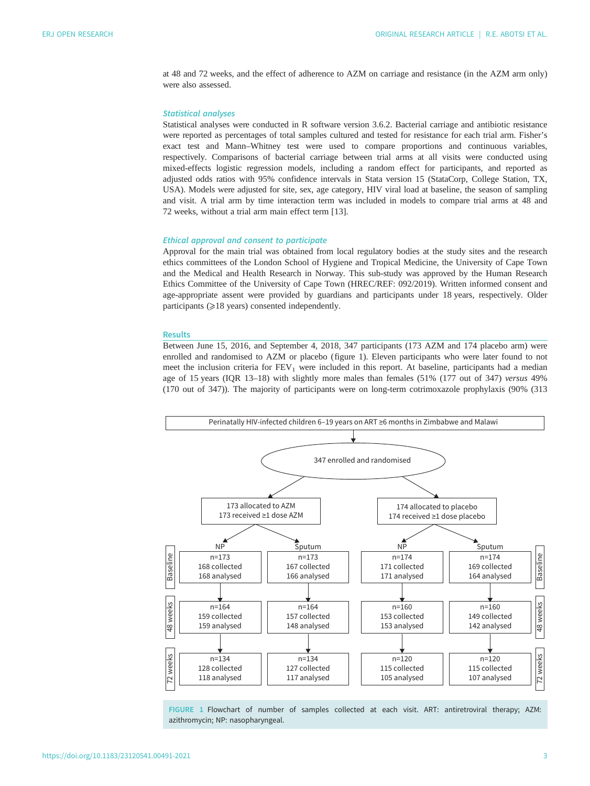<span id="page-2-0"></span>at 48 and 72 weeks, and the effect of adherence to AZM on carriage and resistance (in the AZM arm only) were also assessed.

## Statistical analyses

Statistical analyses were conducted in R software version 3.6.2. Bacterial carriage and antibiotic resistance were reported as percentages of total samples cultured and tested for resistance for each trial arm. Fisher's exact test and Mann–Whitney test were used to compare proportions and continuous variables, respectively. Comparisons of bacterial carriage between trial arms at all visits were conducted using mixed-effects logistic regression models, including a random effect for participants, and reported as adjusted odds ratios with 95% confidence intervals in Stata version 15 (StataCorp, College Station, TX, USA). Models were adjusted for site, sex, age category, HIV viral load at baseline, the season of sampling and visit. A trial arm by time interaction term was included in models to compare trial arms at 48 and 72 weeks, without a trial arm main effect term [[13\]](#page-10-0).

## Ethical approval and consent to participate

Approval for the main trial was obtained from local regulatory bodies at the study sites and the research ethics committees of the London School of Hygiene and Tropical Medicine, the University of Cape Town and the Medical and Health Research in Norway. This sub-study was approved by the Human Research Ethics Committee of the University of Cape Town (HREC/REF: 092/2019). Written informed consent and age-appropriate assent were provided by guardians and participants under 18 years, respectively. Older participants ( $\geq$ 18 years) consented independently.

#### **Results**

Between June 15, 2016, and September 4, 2018, 347 participants (173 AZM and 174 placebo arm) were enrolled and randomised to AZM or placebo (figure 1). Eleven participants who were later found to not meet the inclusion criteria for  $FEV<sub>1</sub>$  were included in this report. At baseline, participants had a median age of 15 years (IQR 13–18) with slightly more males than females (51% (177 out of 347) versus 49% (170 out of 347)). The majority of participants were on long-term cotrimoxazole prophylaxis (90% (313



FIGURE 1 Flowchart of number of samples collected at each visit. ART: antiretroviral therapy; AZM: azithromycin; NP: nasopharyngeal.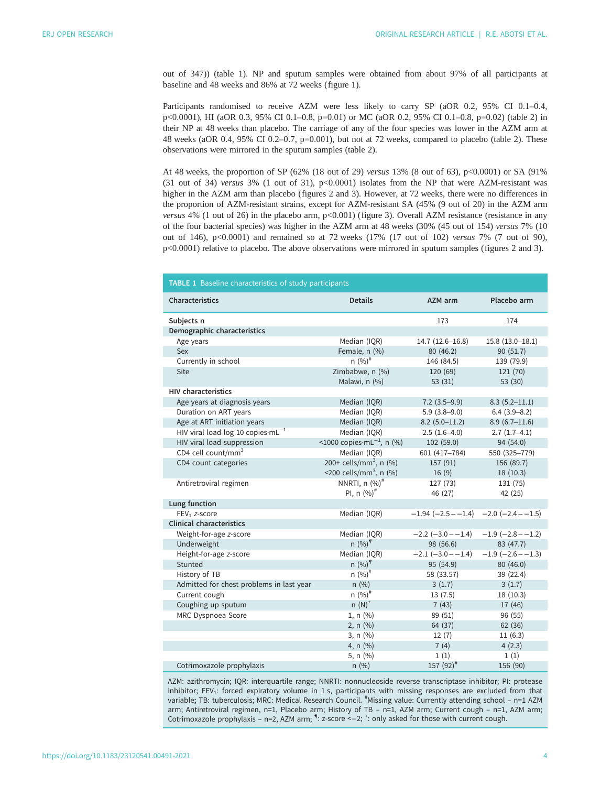out of 347)) (table 1). NP and sputum samples were obtained from about 97% of all participants at baseline and 48 weeks and 86% at 72 weeks ([figure 1](#page-2-0)).

Participants randomised to receive AZM were less likely to carry SP (aOR 0.2, 95% CI 0.1–0.4, p<0.0001), HI (aOR 0.3, 95% CI 0.1–0.8, p=0.01) or MC (aOR 0.2, 95% CI 0.1–0.8, p=0.02) [\(table 2\)](#page-4-0) in their NP at 48 weeks than placebo. The carriage of any of the four species was lower in the AZM arm at 48 weeks (aOR 0.4, 95% CI 0.2–0.7, p=0.001), but not at 72 weeks, compared to placebo ([table 2](#page-4-0)). These observations were mirrored in the sputum samples [\(table 2\)](#page-4-0).

At 48 weeks, the proportion of SP (62% (18 out of 29) versus 13% (8 out of 63), p<0.0001) or SA (91% (31 out of 34) versus  $3\%$  (1 out of 31),  $p<0.0001$ ) isolates from the NP that were AZM-resistant was higher in the AZM arm than placebo [\(figures 2](#page-5-0) and [3\)](#page-6-0). However, at 72 weeks, there were no differences in the proportion of AZM-resistant strains, except for AZM-resistant SA (45% (9 out of 20) in the AZM arm versus 4% (1 out of 26) in the placebo arm, p<0.001) [\(figure 3](#page-6-0)). Overall AZM resistance (resistance in any of the four bacterial species) was higher in the AZM arm at 48 weeks (30% (45 out of 154) versus 7% (10 out of 146), p<0.0001) and remained so at 72 weeks (17% (17 out of 102) versus 7% (7 out of 90), p<0.0001) relative to placebo. The above observations were mirrored in sputum samples ([figures 2](#page-5-0) and [3\)](#page-6-0).

| <b>TABLE 1</b> Baseline characteristics of study participants |                                               |                                          |                          |  |  |  |  |  |  |
|---------------------------------------------------------------|-----------------------------------------------|------------------------------------------|--------------------------|--|--|--|--|--|--|
| Characteristics                                               | <b>Details</b>                                | AZM arm                                  | Placebo arm              |  |  |  |  |  |  |
| Subjects n                                                    |                                               | 173                                      | 174                      |  |  |  |  |  |  |
| Demographic characteristics                                   |                                               |                                          |                          |  |  |  |  |  |  |
| Age years                                                     | Median (IQR)                                  | $14.7(12.6 - 16.8)$                      | $15.8(13.0 - 18.1)$      |  |  |  |  |  |  |
| Sex                                                           | Female, n (%)                                 | 80 (46.2)                                | 90(51.7)                 |  |  |  |  |  |  |
| Currently in school                                           | $n (%)^{\#}$                                  | 146 (84.5)                               | 139 (79.9)               |  |  |  |  |  |  |
| Site                                                          | Zimbabwe, n (%)                               | 120 (69)                                 | 121 (70)                 |  |  |  |  |  |  |
|                                                               | Malawi, n (%)                                 | 53(31)                                   | 53(30)                   |  |  |  |  |  |  |
| <b>HIV characteristics</b>                                    |                                               |                                          |                          |  |  |  |  |  |  |
| Age years at diagnosis years                                  | Median (IQR)                                  | $7.2$ (3.5-9.9)                          | $8.3(5.2 - 11.1)$        |  |  |  |  |  |  |
| Duration on ART years                                         | Median (IQR)                                  | $5.9(3.8-9.0)$                           | $6.4(3.9 - 8.2)$         |  |  |  |  |  |  |
| Age at ART initiation years                                   | Median (IQR)                                  | $8.2(5.0-11.2)$                          | $8.9(6.7-11.6)$          |  |  |  |  |  |  |
| HIV viral load log 10 copies mL <sup>-1</sup>                 | Median (IQR)                                  | $2.5(1.6-4.0)$                           | $2.7(1.7-4.1)$           |  |  |  |  |  |  |
| HIV viral load suppression                                    | <1000 copies $\cdot$ mL <sup>-1</sup> , n (%) | 102(59.0)                                | 94 (54.0)                |  |  |  |  |  |  |
| CD4 cell count/mm <sup>3</sup>                                | Median (IQR)                                  | 601 (417-784)                            | 550 (325-779)            |  |  |  |  |  |  |
| CD4 count categories                                          | 200+ cells/mm <sup>3</sup> , n $(%)$          | 157 (91)                                 | 156 (89.7)               |  |  |  |  |  |  |
|                                                               | <200 cells/mm <sup>3</sup> , n $(\% )$        | 16(9)                                    | 18(10.3)                 |  |  |  |  |  |  |
| Antiretroviral regimen                                        | NNRTI, $n$ $(\%)^{\#}$                        | 127 (73)                                 | 131 (75)                 |  |  |  |  |  |  |
|                                                               | PI, n $(%)^{\#}$                              | 46 (27)                                  | 42 (25)                  |  |  |  |  |  |  |
| Lung function                                                 |                                               |                                          |                          |  |  |  |  |  |  |
| FEV <sub>1</sub> z-score                                      | Median (IQR)                                  | $-1.94 (-2.5 - -1.4) -2.0 (-2.4 - -1.5)$ |                          |  |  |  |  |  |  |
| <b>Clinical characteristics</b>                               |                                               |                                          |                          |  |  |  |  |  |  |
| Weight-for-age z-score                                        | Median (IQR)                                  | $-2.2$ ( $-3.0 - -1.4$ )                 | $-1.9$ ( $-2.8 - -1.2$ ) |  |  |  |  |  |  |
| Underweight                                                   | $n (%)^9$                                     | 98 (56.6)                                | 83 (47.7)                |  |  |  |  |  |  |
| Height-for-age z-score                                        | Median (IQR)                                  | $-2.1$ $(-3.0 - -1.4)$                   | $-1.9$ ( $-2.6 - -1.3$ ) |  |  |  |  |  |  |
| Stunted                                                       | $n (%)^9$                                     | 95 (54.9)                                | 80 (46.0)                |  |  |  |  |  |  |
| History of TB                                                 | $n (\%)^{\#}$                                 | 58 (33.57)                               | 39 (22.4)                |  |  |  |  |  |  |
| Admitted for chest problems in last year                      | n(%)                                          | 3(1.7)                                   | 3(1.7)                   |  |  |  |  |  |  |
| Current cough                                                 | $n (%)^*$                                     | 13(7.5)                                  | 18(10.3)                 |  |  |  |  |  |  |
| Coughing up sputum                                            | $n(N)^+$                                      | 7(43)                                    | 17 (46)                  |  |  |  |  |  |  |
| MRC Dyspnoea Score                                            | $1, n (\%)$                                   | 89 (51)                                  | 96 (55)                  |  |  |  |  |  |  |
|                                                               | 2, $n$ $(\%)$                                 | 64 (37)                                  | 62(36)                   |  |  |  |  |  |  |
|                                                               | 3, $n$ $(%)$                                  | 12(7)                                    | 11(6.3)                  |  |  |  |  |  |  |
|                                                               | 4, n $(\% )$                                  | 7(4)                                     | 4(2.3)                   |  |  |  |  |  |  |
|                                                               | 5, $n$ (%)                                    | 1(1)                                     | 1(1)                     |  |  |  |  |  |  |
| Cotrimoxazole prophylaxis                                     | n(%)                                          | $157(92)^{#}$                            | 156 (90)                 |  |  |  |  |  |  |

AZM: azithromycin; IQR: interquartile range; NNRTI: nonnucleoside reverse transcriptase inhibitor; PI: protease inhibitor; FEV<sub>1</sub>: forced expiratory volume in 1 s, participants with missing responses are excluded from that variable; TB: tuberculosis; MRC: Medical Research Council. "Missing value: Currently attending school - n=1 AZM arm; Antiretroviral regimen, n=1, Placebo arm; History of TB – n=1, AZM arm; Current cough – n=1, AZM arm; Cotrimoxazole prophylaxis - n=2, AZM arm;  $\P$ : z-score <-2;  $^+$ : only asked for those with current cough.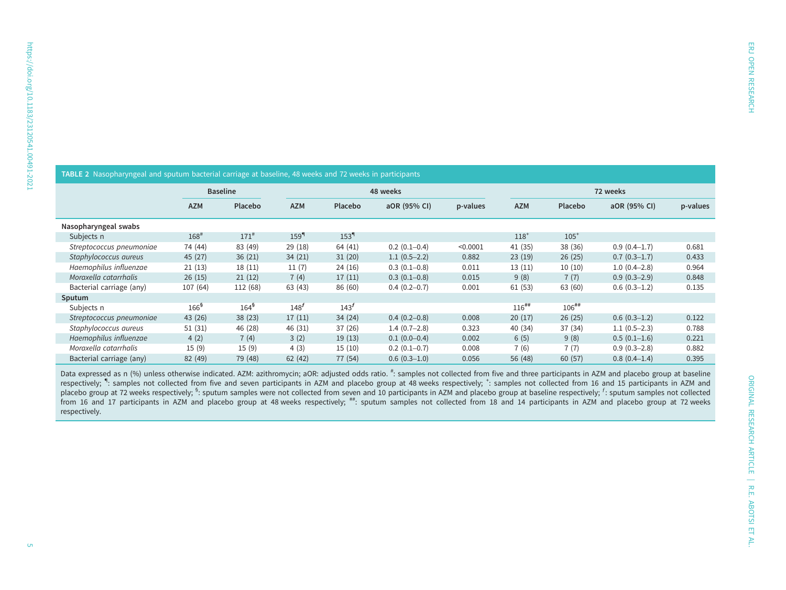<span id="page-4-0"></span>

| TABLE 2 Nasopharyngeal and sputum bacterial carriage at baseline, 48 weeks and 72 weeks in participants |                    |                 |                  |                  |                |          |            |                     |                  |          |  |  |
|---------------------------------------------------------------------------------------------------------|--------------------|-----------------|------------------|------------------|----------------|----------|------------|---------------------|------------------|----------|--|--|
|                                                                                                         |                    | <b>Baseline</b> | 48 weeks         |                  |                | 72 weeks |            |                     |                  |          |  |  |
|                                                                                                         | <b>AZM</b>         | <b>Placebo</b>  | <b>AZM</b>       | Placebo          | aOR (95% CI)   | p-values | <b>AZM</b> | Placebo             | aOR (95% CI)     | p-values |  |  |
| Nasopharyngeal swabs                                                                                    |                    |                 |                  |                  |                |          |            |                     |                  |          |  |  |
| Subjects n                                                                                              | $168$ <sup>#</sup> | $171^{#}$       | 159 <sup>q</sup> | 153 <sup>q</sup> |                |          | $118^{+}$  | $105^+$             |                  |          |  |  |
| Streptococcus pneumoniae                                                                                | 74 (44)            | 83 (49)         | 29(18)           | 64 (41)          | $0.2(0.1-0.4)$ | < 0.0001 | 41 (35)    | 38 (36)             | $0.9(0.4-1.7)$   | 0.681    |  |  |
| Staphylococcus aureus                                                                                   | 45 (27)            | 36(21)          | 34(21)           | 31(20)           | $1.1(0.5-2.2)$ | 0.882    | 23(19)     | 26(25)              | $0.7(0.3-1.7)$   | 0.433    |  |  |
| Haemophilus influenzae                                                                                  | 21(13)             | 18(11)          | 11(7)            | 24(16)           | $0.3(0.1-0.8)$ | 0.011    | 13(11)     | 10(10)              | $1.0(0.4 - 2.8)$ | 0.964    |  |  |
| Moraxella catarrhalis                                                                                   | 26(15)             | 21(12)          | 7(4)             | 17(11)           | $0.3(0.1-0.8)$ | 0.015    | 9(8)       | 7(7)                | $0.9(0.3-2.9)$   | 0.848    |  |  |
| Bacterial carriage (any)                                                                                | 107 (64)           | 112 (68)        | 63(43)           | 86 (60)          | $0.4(0.2-0.7)$ | 0.001    | 61(53)     | 63 (60)             | $0.6(0.3-1.2)$   | 0.135    |  |  |
| Sputum                                                                                                  |                    |                 |                  |                  |                |          |            |                     |                  |          |  |  |
| Subjects n                                                                                              | 166 <sup>5</sup>   | $164^5$         | 148 <sup>f</sup> | 143 <sup>f</sup> |                |          | $116^{##}$ | $106$ <sup>##</sup> |                  |          |  |  |
| Streptococcus pneumoniae                                                                                | 43 (26)            | 38(23)          | 17(11)           | 34(24)           | $0.4(0.2-0.8)$ | 0.008    | 20(17)     | 26(25)              | $0.6(0.3-1.2)$   | 0.122    |  |  |
| Staphylococcus aureus                                                                                   | 51(31)             | 46 (28)         | 46 (31)          | 37(26)           | $1.4(0.7-2.8)$ | 0.323    | 40 (34)    | 37 (34)             | $1.1(0.5-2.3)$   | 0.788    |  |  |
| Haemophilus influenzae                                                                                  | 4(2)               | 7(4)            | 3(2)             | 19(13)           | $0.1(0.0-0.4)$ | 0.002    | 6(5)       | 9(8)                | $0.5(0.1-1.6)$   | 0.221    |  |  |
| Moraxella catarrhalis                                                                                   | 15(9)              | 15(9)           | 4(3)             | 15(10)           | $0.2(0.1-0.7)$ | 0.008    | 7(6)       | 7(7)                | $0.9(0.3-2.8)$   | 0.882    |  |  |
| Bacterial carriage (any)                                                                                | 82 (49)            | 79 (48)         | 62(42)           | 77 (54)          | $0.6(0.3-1.0)$ | 0.056    | 56 (48)    | 60(57)              | $0.8(0.4-1.4)$   | 0.395    |  |  |

## Data expressed as n (%) unless otherwise indicated. AZM: azithromycin; aOR: adjusted odds ratio. #: samples not collected from five and three participants in AZM and placebo group at baseline respectively; ": samples not collected from five and seven participants in AZM and placebo group at 48 weeks respectively; ": samples not collected from 16 and 15 participants in AZM and placebo group at 48 weeks respectiv placebo group at 72 weeks respectively; <sup>§</sup>: sputum samples were not collected from seven and 10 participants in AZM and placebo group at baseline respectively; <sup>f</sup>: sputum samples not collected from 16 and 17 participants in AZM and placebo group at 48 weeks respectively; ##: sputum samples not collected from 18 and 14 participants in AZM and placebo group at 72 weeks respectively.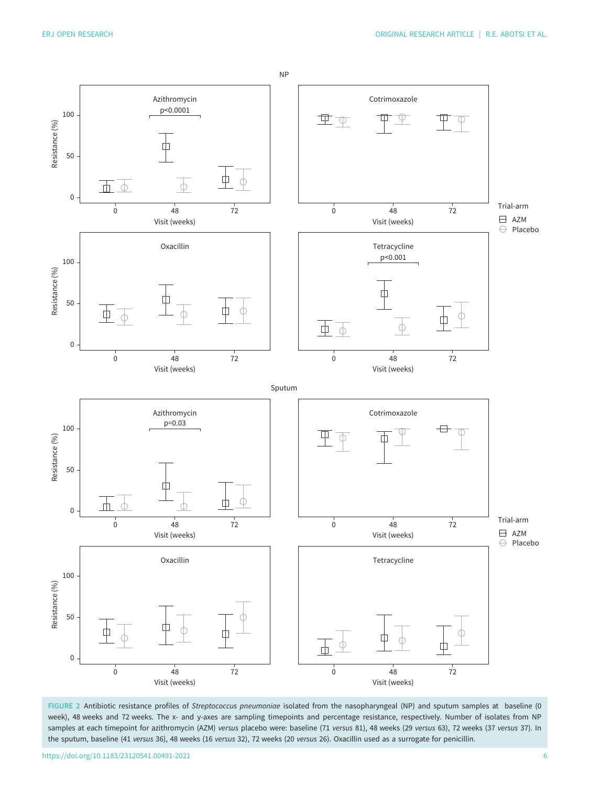<span id="page-5-0"></span>

FIGURE 2 Antibiotic resistance profiles of Streptococcus pneumoniae isolated from the nasopharyngeal (NP) and sputum samples at baseline (0 week), 48 weeks and 72 weeks. The x- and y-axes are sampling timepoints and percentage resistance, respectively. Number of isolates from NP samples at each timepoint for azithromycin (AZM) versus placebo were: baseline (71 versus 81), 48 weeks (29 versus 63), 72 weeks (37 versus 37). In the sputum, baseline (41 versus 36), 48 weeks (16 versus 32), 72 weeks (20 versus 26). Oxacillin used as a surrogate for penicillin.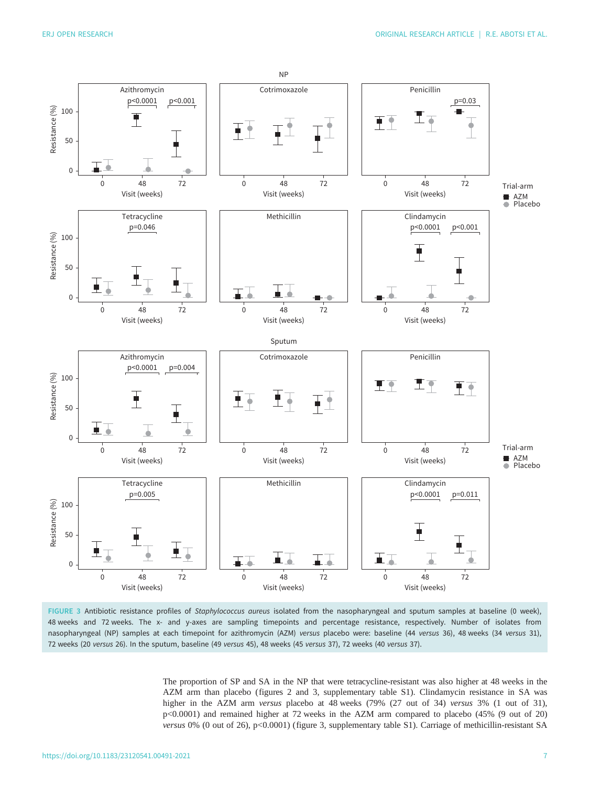<span id="page-6-0"></span>

FIGURE 3 Antibiotic resistance profiles of Staphylococcus aureus isolated from the nasopharyngeal and sputum samples at baseline (0 week), 48 weeks and 72 weeks. The x- and y-axes are sampling timepoints and percentage resistance, respectively. Number of isolates from nasopharyngeal (NP) samples at each timepoint for azithromycin (AZM) versus placebo were: baseline (44 versus 36), 48 weeks (34 versus 31), 72 weeks (20 versus 26). In the sputum, baseline (49 versus 45), 48 weeks (45 versus 37), 72 weeks (40 versus 37).

The proportion of SP and SA in the NP that were tetracycline-resistant was also higher at 48 weeks in the AZM arm than placebo ([figures 2](#page-5-0) and 3, [supplementary table S1](http://openres.ersjournals.com/lookup/doi/10.1183/23120541.00491-2021.figures-only#fig-data-supplementary-materials)). Clindamycin resistance in SA was higher in the AZM arm versus placebo at 48 weeks (79% (27 out of 34) versus 3% (1 out of 31), p<0.0001) and remained higher at 72 weeks in the AZM arm compared to placebo (45% (9 out of 20) versus 0% (0 out of 26), p<0.0001) (figure 3, [supplementary table S1\)](http://openres.ersjournals.com/lookup/doi/10.1183/23120541.00491-2021.figures-only#fig-data-supplementary-materials). Carriage of methicillin-resistant SA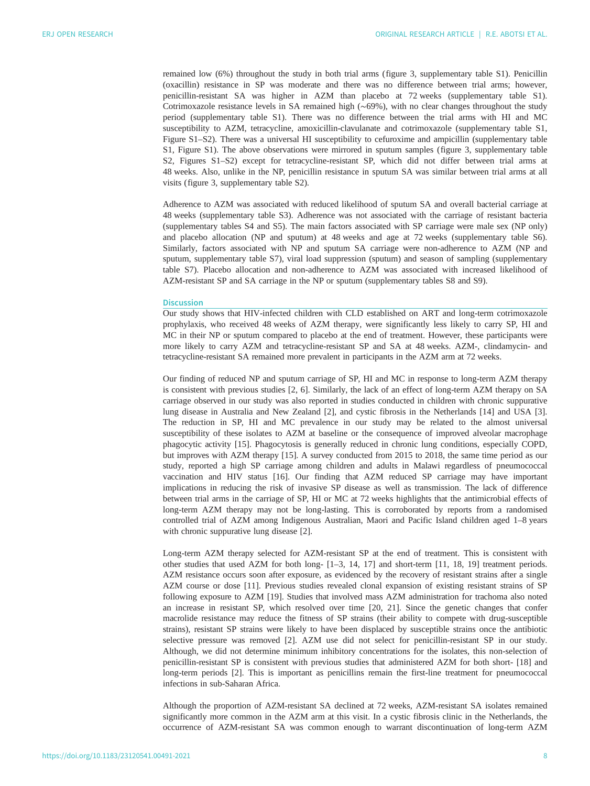remained low (6%) throughout the study in both trial arms ([figure 3,](#page-6-0) [supplementary table S1](http://openres.ersjournals.com/lookup/doi/10.1183/23120541.00491-2021.figures-only#fig-data-supplementary-materials)). Penicillin (oxacillin) resistance in SP was moderate and there was no difference between trial arms; however, penicillin-resistant SA was higher in AZM than placebo at 72 weeks [\(supplementary table S1\)](http://openres.ersjournals.com/lookup/doi/10.1183/23120541.00491-2021.figures-only#fig-data-supplementary-materials). Cotrimoxazole resistance levels in SA remained high (∼69%), with no clear changes throughout the study period [\(supplementary table S1](http://openres.ersjournals.com/lookup/doi/10.1183/23120541.00491-2021.figures-only#fig-data-supplementary-materials)). There was no difference between the trial arms with HI and MC susceptibility to AZM, tetracycline, amoxicillin-clavulanate and cotrimoxazole [\(supplementary table S1](http://openres.ersjournals.com/lookup/doi/10.1183/23120541.00491-2021.figures-only#fig-data-supplementary-materials), [Figure S1](http://openres.ersjournals.com/lookup/doi/10.1183/23120541.00491-2021.figures-only#fig-data-supplementary-materials)–S2). There was a universal HI susceptibility to cefuroxime and ampicillin ([supplementary table](http://openres.ersjournals.com/lookup/doi/10.1183/23120541.00491-2021.figures-only#fig-data-supplementary-materials) [S1, Figure S1\)](http://openres.ersjournals.com/lookup/doi/10.1183/23120541.00491-2021.figures-only#fig-data-supplementary-materials). The above observations were mirrored in sputum samples [\(figure 3,](#page-6-0) [supplementary table](http://openres.ersjournals.com/lookup/doi/10.1183/23120541.00491-2021.figures-only#fig-data-supplementary-materials) [S2, Figures S1](http://openres.ersjournals.com/lookup/doi/10.1183/23120541.00491-2021.figures-only#fig-data-supplementary-materials)–S2) except for tetracycline-resistant SP, which did not differ between trial arms at 48 weeks. Also, unlike in the NP, penicillin resistance in sputum SA was similar between trial arms at all visits ([figure 3,](#page-6-0) [supplementary table S2](http://openres.ersjournals.com/lookup/doi/10.1183/23120541.00491-2021.figures-only#fig-data-supplementary-materials)).

Adherence to AZM was associated with reduced likelihood of sputum SA and overall bacterial carriage at 48 weeks [\(supplementary table S3](http://openres.ersjournals.com/lookup/doi/10.1183/23120541.00491-2021.figures-only#fig-data-supplementary-materials)). Adherence was not associated with the carriage of resistant bacteria [\(supplementary tables S4 and S5](http://openres.ersjournals.com/lookup/doi/10.1183/23120541.00491-2021.figures-only#fig-data-supplementary-materials)). The main factors associated with SP carriage were male sex (NP only) and placebo allocation (NP and sputum) at 48 weeks and age at 72 weeks [\(supplementary table S6\)](http://openres.ersjournals.com/lookup/doi/10.1183/23120541.00491-2021.figures-only#fig-data-supplementary-materials). Similarly, factors associated with NP and sputum SA carriage were non-adherence to AZM (NP and sputum, [supplementary table S7\)](http://openres.ersjournals.com/lookup/doi/10.1183/23120541.00491-2021.figures-only#fig-data-supplementary-materials), viral load suppression (sputum) and season of sampling [\(supplementary](http://openres.ersjournals.com/lookup/doi/10.1183/23120541.00491-2021.figures-only#fig-data-supplementary-materials) [table S7\)](http://openres.ersjournals.com/lookup/doi/10.1183/23120541.00491-2021.figures-only#fig-data-supplementary-materials). Placebo allocation and non-adherence to AZM was associated with increased likelihood of AZM-resistant SP and SA carriage in the NP or sputum ([supplementary tables S8 and S9](http://openres.ersjournals.com/lookup/doi/10.1183/23120541.00491-2021.figures-only#fig-data-supplementary-materials)).

#### **Discussion**

Our study shows that HIV-infected children with CLD established on ART and long-term cotrimoxazole prophylaxis, who received 48 weeks of AZM therapy, were significantly less likely to carry SP, HI and MC in their NP or sputum compared to placebo at the end of treatment. However, these participants were more likely to carry AZM and tetracycline-resistant SP and SA at 48 weeks. AZM-, clindamycin- and tetracycline-resistant SA remained more prevalent in participants in the AZM arm at 72 weeks.

Our finding of reduced NP and sputum carriage of SP, HI and MC in response to long-term AZM therapy is consistent with previous studies [[2](#page-10-0), [6](#page-10-0)]. Similarly, the lack of an effect of long-term AZM therapy on SA carriage observed in our study was also reported in studies conducted in children with chronic suppurative lung disease in Australia and New Zealand [\[2\]](#page-10-0), and cystic fibrosis in the Netherlands [\[14](#page-10-0)] and USA [\[3\]](#page-10-0). The reduction in SP, HI and MC prevalence in our study may be related to the almost universal susceptibility of these isolates to AZM at baseline or the consequence of improved alveolar macrophage phagocytic activity [[15\]](#page-11-0). Phagocytosis is generally reduced in chronic lung conditions, especially COPD, but improves with AZM therapy [\[15](#page-11-0)]. A survey conducted from 2015 to 2018, the same time period as our study, reported a high SP carriage among children and adults in Malawi regardless of pneumococcal vaccination and HIV status [[16\]](#page-11-0). Our finding that AZM reduced SP carriage may have important implications in reducing the risk of invasive SP disease as well as transmission. The lack of difference between trial arms in the carriage of SP, HI or MC at 72 weeks highlights that the antimicrobial effects of long-term AZM therapy may not be long-lasting. This is corroborated by reports from a randomised controlled trial of AZM among Indigenous Australian, Maori and Pacific Island children aged 1–8 years with chronic suppurative lung disease [[2](#page-10-0)].

Long-term AZM therapy selected for AZM-resistant SP at the end of treatment. This is consistent with other studies that used AZM for both long- [\[1](#page-10-0)–[3, 14](#page-10-0), [17](#page-11-0)] and short-term [\[11,](#page-10-0) [18](#page-11-0), [19](#page-11-0)] treatment periods. AZM resistance occurs soon after exposure, as evidenced by the recovery of resistant strains after a single AZM course or dose [\[11](#page-10-0)]. Previous studies revealed clonal expansion of existing resistant strains of SP following exposure to AZM [[19\]](#page-11-0). Studies that involved mass AZM administration for trachoma also noted an increase in resistant SP, which resolved over time [\[20](#page-11-0), [21](#page-11-0)]. Since the genetic changes that confer macrolide resistance may reduce the fitness of SP strains (their ability to compete with drug-susceptible strains), resistant SP strains were likely to have been displaced by susceptible strains once the antibiotic selective pressure was removed [\[2\]](#page-10-0). AZM use did not select for penicillin-resistant SP in our study. Although, we did not determine minimum inhibitory concentrations for the isolates, this non-selection of penicillin-resistant SP is consistent with previous studies that administered AZM for both short- [[18](#page-11-0)] and long-term periods [[2](#page-10-0)]. This is important as penicillins remain the first-line treatment for pneumococcal infections in sub-Saharan Africa.

Although the proportion of AZM-resistant SA declined at 72 weeks, AZM-resistant SA isolates remained significantly more common in the AZM arm at this visit. In a cystic fibrosis clinic in the Netherlands, the occurrence of AZM-resistant SA was common enough to warrant discontinuation of long-term AZM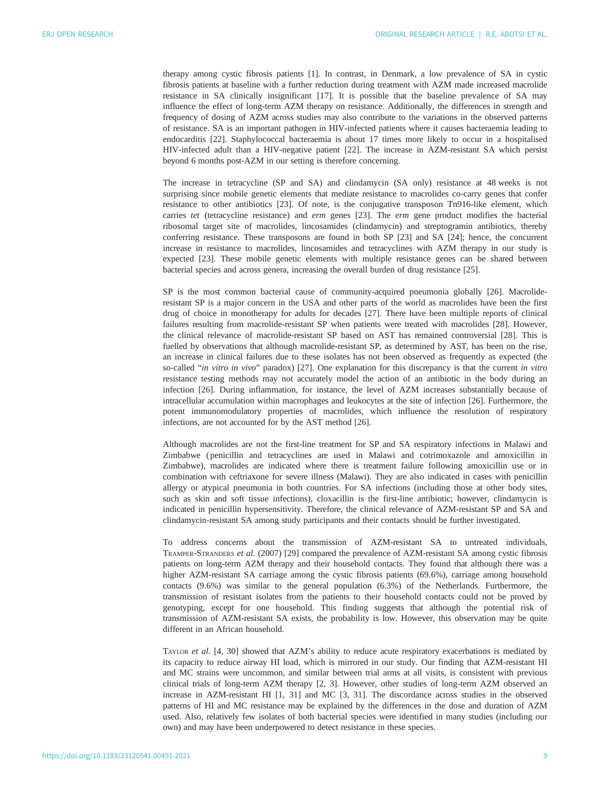therapy among cystic fibrosis patients [\[1\]](#page-10-0). In contrast, in Denmark, a low prevalence of SA in cystic fibrosis patients at baseline with a further reduction during treatment with AZM made increased macrolide resistance in SA clinically insignificant [\[17](#page-11-0)]. It is possible that the baseline prevalence of SA may influence the effect of long-term AZM therapy on resistance. Additionally, the differences in strength and frequency of dosing of AZM across studies may also contribute to the variations in the observed patterns of resistance. SA is an important pathogen in HIV-infected patients where it causes bacteraemia leading to endocarditis [\[22](#page-11-0)]. Staphylococcal bacteraemia is about 17 times more likely to occur in a hospitalised HIV-infected adult than a HIV-negative patient [[22\]](#page-11-0). The increase in AZM-resistant SA which persist beyond 6 months post-AZM in our setting is therefore concerning.

The increase in tetracycline (SP and SA) and clindamycin (SA only) resistance at 48 weeks is not surprising since mobile genetic elements that mediate resistance to macrolides co-carry genes that confer resistance to other antibiotics [\[23](#page-11-0)]. Of note, is the conjugative transposon Tn916-like element, which carries tet (tetracycline resistance) and erm genes  $[23]$  $[23]$ . The erm gene product modifies the bacterial ribosomal target site of macrolides, lincosamides (clindamycin) and streptogramin antibiotics, thereby conferring resistance. These transposons are found in both SP [\[23](#page-11-0)] and SA [[24\]](#page-11-0); hence, the concurrent increase in resistance to macrolides, lincosamides and tetracyclines with AZM therapy in our study is expected [[23\]](#page-11-0). These mobile genetic elements with multiple resistance genes can be shared between bacterial species and across genera, increasing the overall burden of drug resistance [[25\]](#page-11-0).

SP is the most common bacterial cause of community-acquired pneumonia globally [[26\]](#page-11-0). Macrolideresistant SP is a major concern in the USA and other parts of the world as macrolides have been the first drug of choice in monotherapy for adults for decades [\[27](#page-11-0)]. There have been multiple reports of clinical failures resulting from macrolide-resistant SP when patients were treated with macrolides [[28\]](#page-11-0). However, the clinical relevance of macrolide-resistant SP based on AST has remained controversial [[28\]](#page-11-0). This is fuelled by observations that although macrolide-resistant SP, as determined by AST, has been on the rise, an increase in clinical failures due to these isolates has not been observed as frequently as expected (the so-called "in vitro in vivo" paradox) [\[27](#page-11-0)]. One explanation for this discrepancy is that the current in vitro resistance testing methods may not accurately model the action of an antibiotic in the body during an infection [\[26](#page-11-0)]. During inflammation, for instance, the level of AZM increases substantially because of intracellular accumulation within macrophages and leukocytes at the site of infection [[26\]](#page-11-0). Furthermore, the potent immunomodulatory properties of macrolides, which influence the resolution of respiratory infections, are not accounted for by the AST method [[26\]](#page-11-0).

Although macrolides are not the first-line treatment for SP and SA respiratory infections in Malawi and Zimbabwe ( penicillin and tetracyclines are used in Malawi and cotrimoxazole and amoxicillin in Zimbabwe), macrolides are indicated where there is treatment failure following amoxicillin use or in combination with ceftriaxone for severe illness (Malawi). They are also indicated in cases with penicillin allergy or atypical pneumonia in both countries. For SA infections (including those at other body sites, such as skin and soft tissue infections), cloxacillin is the first-line antibiotic; however, clindamycin is indicated in penicillin hypersensitivity. Therefore, the clinical relevance of AZM-resistant SP and SA and clindamycin-resistant SA among study participants and their contacts should be further investigated.

To address concerns about the transmission of AZM-resistant SA to untreated individuals, TRAMPER-STRANDERS et al. (2007) [[29\]](#page-11-0) compared the prevalence of AZM-resistant SA among cystic fibrosis patients on long-term AZM therapy and their household contacts. They found that although there was a higher AZM-resistant SA carriage among the cystic fibrosis patients (69.6%), carriage among household contacts (9.6%) was similar to the general population (6.3%) of the Netherlands. Furthermore, the transmission of resistant isolates from the patients to their household contacts could not be proved by genotyping, except for one household. This finding suggests that although the potential risk of transmission of AZM-resistant SA exists, the probability is low. However, this observation may be quite different in an African household.

TAYLOR et al. [[4](#page-10-0), [30](#page-11-0)] showed that AZM's ability to reduce acute respiratory exacerbations is mediated by its capacity to reduce airway HI load, which is mirrored in our study. Our finding that AZM-resistant HI and MC strains were uncommon, and similar between trial arms at all visits, is consistent with previous clinical trials of long-term AZM therapy [\[2, 3](#page-10-0)]. However, other studies of long-term AZM observed an increase in AZM-resistant HI [\[1,](#page-10-0) [31\]](#page-11-0) and MC [\[3,](#page-10-0) [31](#page-11-0)]. The discordance across studies in the observed patterns of HI and MC resistance may be explained by the differences in the dose and duration of AZM used. Also, relatively few isolates of both bacterial species were identified in many studies (including our own) and may have been underpowered to detect resistance in these species.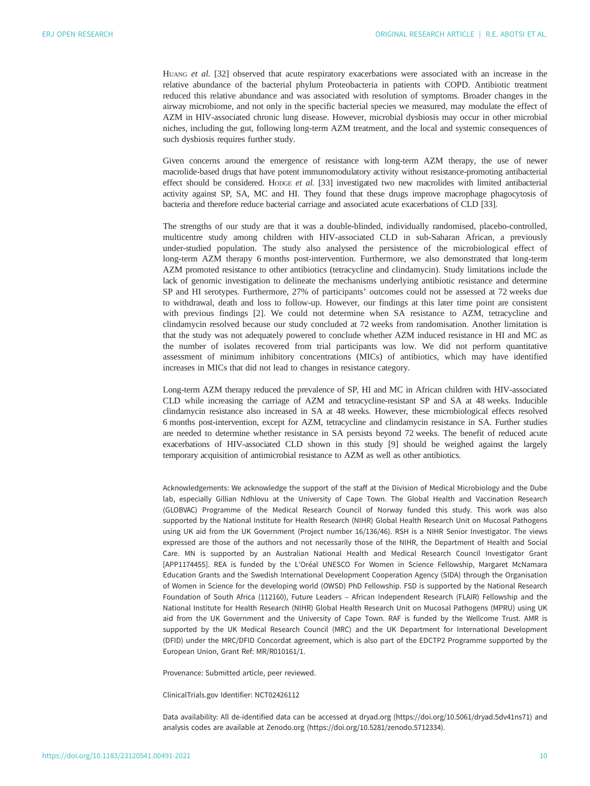HUANG et al. [\[32](#page-11-0)] observed that acute respiratory exacerbations were associated with an increase in the relative abundance of the bacterial phylum Proteobacteria in patients with COPD. Antibiotic treatment reduced this relative abundance and was associated with resolution of symptoms. Broader changes in the airway microbiome, and not only in the specific bacterial species we measured, may modulate the effect of AZM in HIV-associated chronic lung disease. However, microbial dysbiosis may occur in other microbial niches, including the gut, following long-term AZM treatment, and the local and systemic consequences of such dysbiosis requires further study.

Given concerns around the emergence of resistance with long-term AZM therapy, the use of newer macrolide-based drugs that have potent immunomodulatory activity without resistance-promoting antibacterial effect should be considered. Hopge et al. [\[33](#page-11-0)] investigated two new macrolides with limited antibacterial activity against SP, SA, MC and HI. They found that these drugs improve macrophage phagocytosis of bacteria and therefore reduce bacterial carriage and associated acute exacerbations of CLD [[33](#page-11-0)].

The strengths of our study are that it was a double-blinded, individually randomised, placebo-controlled, multicentre study among children with HIV-associated CLD in sub-Saharan African, a previously under-studied population. The study also analysed the persistence of the microbiological effect of long-term AZM therapy 6 months post-intervention. Furthermore, we also demonstrated that long-term AZM promoted resistance to other antibiotics (tetracycline and clindamycin). Study limitations include the lack of genomic investigation to delineate the mechanisms underlying antibiotic resistance and determine SP and HI serotypes. Furthermore, 27% of participants' outcomes could not be assessed at 72 weeks due to withdrawal, death and loss to follow-up. However, our findings at this later time point are consistent with previous findings [[2](#page-10-0)]. We could not determine when SA resistance to AZM, tetracycline and clindamycin resolved because our study concluded at 72 weeks from randomisation. Another limitation is that the study was not adequately powered to conclude whether AZM induced resistance in HI and MC as the number of isolates recovered from trial participants was low. We did not perform quantitative assessment of minimum inhibitory concentrations (MICs) of antibiotics, which may have identified increases in MICs that did not lead to changes in resistance category.

Long-term AZM therapy reduced the prevalence of SP, HI and MC in African children with HIV-associated CLD while increasing the carriage of AZM and tetracycline-resistant SP and SA at 48 weeks. Inducible clindamycin resistance also increased in SA at 48 weeks. However, these microbiological effects resolved 6 months post-intervention, except for AZM, tetracycline and clindamycin resistance in SA. Further studies are needed to determine whether resistance in SA persists beyond 72 weeks. The benefit of reduced acute exacerbations of HIV-associated CLD shown in this study [[9](#page-10-0)] should be weighed against the largely temporary acquisition of antimicrobial resistance to AZM as well as other antibiotics.

Acknowledgements: We acknowledge the support of the staff at the Division of Medical Microbiology and the Dube lab, especially Gillian Ndhlovu at the University of Cape Town. The Global Health and Vaccination Research (GLOBVAC) Programme of the Medical Research Council of Norway funded this study. This work was also supported by the National Institute for Health Research (NIHR) Global Health Research Unit on Mucosal Pathogens using UK aid from the UK Government (Project number 16/136/46). RSH is a NIHR Senior Investigator. The views expressed are those of the authors and not necessarily those of the NIHR, the Department of Health and Social Care. MN is supported by an Australian National Health and Medical Research Council Investigator Grant [APP1174455]. REA is funded by the L'Oréal UNESCO For Women in Science Fellowship, Margaret McNamara Education Grants and the Swedish International Development Cooperation Agency (SIDA) through the Organisation of Women in Science for the developing world (OWSD) PhD Fellowship. FSD is supported by the National Research Foundation of South Africa (112160), Future Leaders – African Independent Research (FLAIR) Fellowship and the National Institute for Health Research (NIHR) Global Health Research Unit on Mucosal Pathogens (MPRU) using UK aid from the UK Government and the University of Cape Town. RAF is funded by the Wellcome Trust. AMR is supported by the UK Medical Research Council (MRC) and the UK Department for International Development (DFID) under the MRC/DFID Concordat agreement, which is also part of the EDCTP2 Programme supported by the European Union, Grant Ref: MR/R010161/1.

Provenance: Submitted article, peer reviewed.

ClinicalTrials.gov Identifier: NCT02426112

Data availability: All de-identified data can be accessed at dryad.org (https://doi.org/10.5061/dryad.5dv41ns71) and analysis codes are available at Zenodo.org (https://doi.org/10.5281/zenodo.5712334).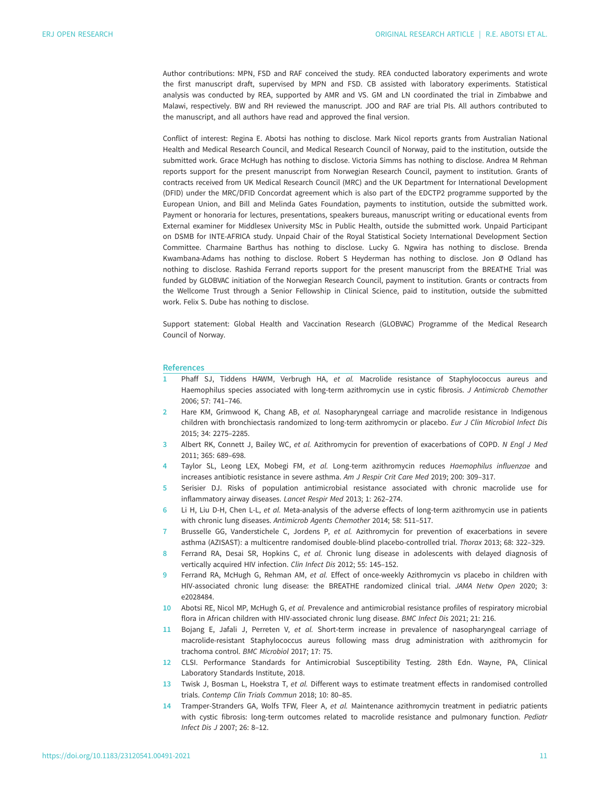<span id="page-10-0"></span>Author contributions: MPN, FSD and RAF conceived the study. REA conducted laboratory experiments and wrote the first manuscript draft, supervised by MPN and FSD. CB assisted with laboratory experiments. Statistical analysis was conducted by REA, supported by AMR and VS. GM and LN coordinated the trial in Zimbabwe and Malawi, respectively. BW and RH reviewed the manuscript. JOO and RAF are trial PIs. All authors contributed to the manuscript, and all authors have read and approved the final version.

Conflict of interest: Regina E. Abotsi has nothing to disclose. Mark Nicol reports grants from Australian National Health and Medical Research Council, and Medical Research Council of Norway, paid to the institution, outside the submitted work. Grace McHugh has nothing to disclose. Victoria Simms has nothing to disclose. Andrea M Rehman reports support for the present manuscript from Norwegian Research Council, payment to institution. Grants of contracts received from UK Medical Research Council (MRC) and the UK Department for International Development (DFID) under the MRC/DFID Concordat agreement which is also part of the EDCTP2 programme supported by the European Union, and Bill and Melinda Gates Foundation, payments to institution, outside the submitted work. Payment or honoraria for lectures, presentations, speakers bureaus, manuscript writing or educational events from External examiner for Middlesex University MSc in Public Health, outside the submitted work. Unpaid Participant on DSMB for INTE-AFRICA study. Unpaid Chair of the Royal Statistical Society International Development Section Committee. Charmaine Barthus has nothing to disclose. Lucky G. Ngwira has nothing to disclose. Brenda Kwambana-Adams has nothing to disclose. Robert S Heyderman has nothing to disclose. Jon Ø Odland has nothing to disclose. Rashida Ferrand reports support for the present manuscript from the BREATHE Trial was funded by GLOBVAC initiation of the Norwegian Research Council, payment to institution. Grants or contracts from the Wellcome Trust through a Senior Fellowship in Clinical Science, paid to institution, outside the submitted work. Felix S. Dube has nothing to disclose.

Support statement: Global Health and Vaccination Research (GLOBVAC) Programme of the Medical Research Council of Norway.

#### References

- 1 Phaff SJ, Tiddens HAWM, Verbrugh HA, et al. Macrolide resistance of Staphylococcus aureus and Haemophilus species associated with long-term azithromycin use in cystic fibrosis. J Antimicrob Chemother 2006; 57: 741–746.
- 2 Hare KM, Grimwood K, Chang AB, et al. Nasopharyngeal carriage and macrolide resistance in Indigenous children with bronchiectasis randomized to long-term azithromycin or placebo. Eur J Clin Microbiol Infect Dis 2015; 34: 2275–2285.
- 3 Albert RK, Connett J, Bailey WC, et al. Azithromycin for prevention of exacerbations of COPD. N Engl J Med 2011; 365: 689–698.
- Taylor SL, Leong LEX, Mobegi FM, et al. Long-term azithromycin reduces Haemophilus influenzae and increases antibiotic resistance in severe asthma. Am J Respir Crit Care Med 2019; 200: 309–317.
- 5 Serisier DJ. Risks of population antimicrobial resistance associated with chronic macrolide use for inflammatory airway diseases. Lancet Respir Med 2013; 1: 262–274.
- 6 Li H, Liu D-H, Chen L-L, et al. Meta-analysis of the adverse effects of long-term azithromycin use in patients with chronic lung diseases. Antimicrob Agents Chemother 2014; 58: 511–517.
- 7 Brusselle GG, Vanderstichele C, Jordens P, et al. Azithromycin for prevention of exacerbations in severe asthma (AZISAST): a multicentre randomised double-blind placebo-controlled trial. Thorax 2013; 68: 322–329.
- 8 Ferrand RA, Desai SR, Hopkins C, et al. Chronic lung disease in adolescents with delayed diagnosis of vertically acquired HIV infection. Clin Infect Dis 2012; 55: 145–152.
- 9 Ferrand RA, McHugh G, Rehman AM, et al. Effect of once-weekly Azithromycin vs placebo in children with HIV-associated chronic lung disease: the BREATHE randomized clinical trial. JAMA Netw Open 2020; 3: e2028484.
- 10 Abotsi RE, Nicol MP, McHugh G, et al. Prevalence and antimicrobial resistance profiles of respiratory microbial flora in African children with HIV-associated chronic lung disease. BMC Infect Dis 2021; 21: 216.
- 11 Bojang E, Jafali J, Perreten V, et al. Short-term increase in prevalence of nasopharyngeal carriage of macrolide-resistant Staphylococcus aureus following mass drug administration with azithromycin for trachoma control. BMC Microbiol 2017; 17: 75.
- 12 CLSI. Performance Standards for Antimicrobial Susceptibility Testing. 28th Edn. Wayne, PA, Clinical Laboratory Standards Institute, 2018.
- 13 Twisk J, Bosman L, Hoekstra T, et al. Different ways to estimate treatment effects in randomised controlled trials. Contemp Clin Trials Commun 2018; 10: 80–85.
- 14 Tramper-Stranders GA, Wolfs TFW, Fleer A, et al. Maintenance azithromycin treatment in pediatric patients with cystic fibrosis: long-term outcomes related to macrolide resistance and pulmonary function. Pediatr Infect Dis J 2007; 26: 8–12.